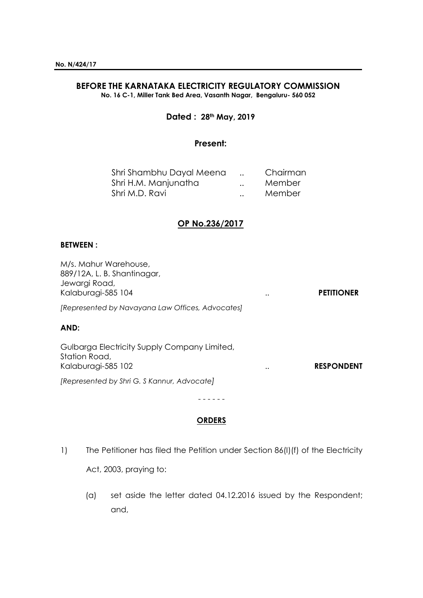# **BEFORE THE KARNATAKA ELECTRICITY REGULATORY COMMISSION**

**No. 16 C-1, Miller Tank Bed Area, Vasanth Nagar, Bengaluru- 560 052**

### **Dated : 28th May, 2019**

#### **Present:**

| Shri Shambhu Dayal Meena |                      | Chairman |
|--------------------------|----------------------|----------|
| Shri H.M. Manjunatha     | $\ddot{\phantom{0}}$ | Member   |
| Shri M.D. Ravi           | $\ddot{\phantom{a}}$ | Member   |

## **OP No.236/2017**

#### **BETWEEN :**

M/s. Mahur Warehouse, 889/12A, L. B. Shantinagar, Jewargi Road, Kalaburagi-585 104 .. **PETITIONER** *[Represented by Navayana Law Offices, Advocates]* **AND:** Gulbarga Electricity Supply Company Limited, Station Road, Kalaburagi-585 102 **RESPONDENT** *[Represented by Shri G. S Kannur, Advocate]*

- - - - - -

#### **ORDERS**

- 1) The Petitioner has filed the Petition under Section 86(I)(f) of the Electricity Act, 2003, praying to:
	- (a) set aside the letter dated 04.12.2016 issued by the Respondent; and,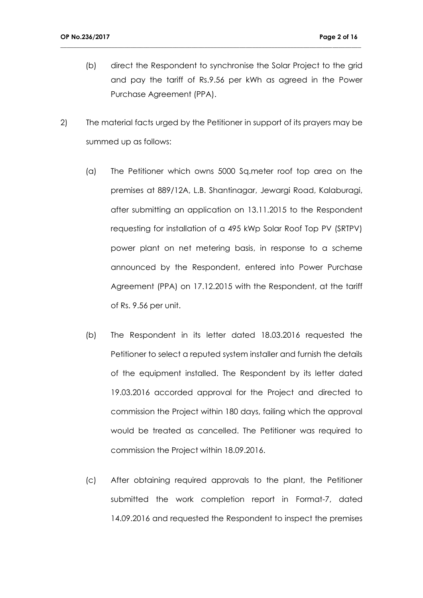- (b) direct the Respondent to synchronise the Solar Project to the grid and pay the tariff of Rs.9.56 per kWh as agreed in the Power Purchase Agreement (PPA).
- 2) The material facts urged by the Petitioner in support of its prayers may be summed up as follows:

- (a) The Petitioner which owns 5000 Sq.meter roof top area on the premises at 889/12A, L.B. Shantinagar, Jewargi Road, Kalaburagi, after submitting an application on 13.11.2015 to the Respondent requesting for installation of a 495 kWp Solar Roof Top PV (SRTPV) power plant on net metering basis, in response to a scheme announced by the Respondent, entered into Power Purchase Agreement (PPA) on 17.12.2015 with the Respondent, at the tariff of Rs. 9.56 per unit.
- (b) The Respondent in its letter dated 18.03.2016 requested the Petitioner to select a reputed system installer and furnish the details of the equipment installed. The Respondent by its letter dated 19.03.2016 accorded approval for the Project and directed to commission the Project within 180 days, failing which the approval would be treated as cancelled. The Petitioner was required to commission the Project within 18.09.2016.
- (c) After obtaining required approvals to the plant, the Petitioner submitted the work completion report in Format-7, dated 14.09.2016 and requested the Respondent to inspect the premises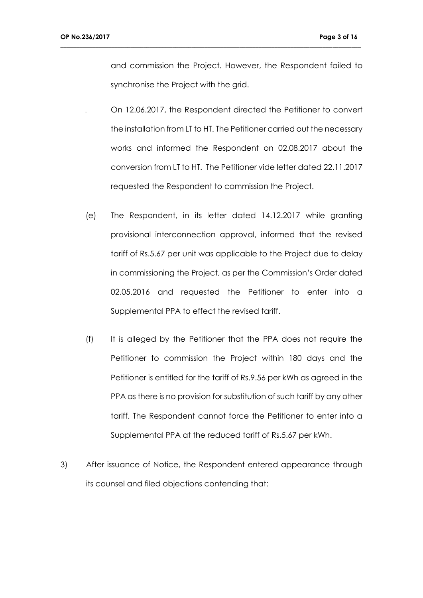and commission the Project. However, the Respondent failed to synchronise the Project with the grid.

- On 12.06.2017, the Respondent directed the Petitioner to convert the installation from LT to HT. The Petitioner carried out the necessary works and informed the Respondent on 02.08.2017 about the conversion from LT to HT. The Petitioner vide letter dated 22.11.2017 requested the Respondent to commission the Project.
- (e) The Respondent, in its letter dated 14.12.2017 while granting provisional interconnection approval, informed that the revised tariff of Rs.5.67 per unit was applicable to the Project due to delay in commissioning the Project, as per the Commission's Order dated 02.05.2016 and requested the Petitioner to enter into a Supplemental PPA to effect the revised tariff.
- (f) It is alleged by the Petitioner that the PPA does not require the Petitioner to commission the Project within 180 days and the Petitioner is entitled for the tariff of Rs.9.56 per kWh as agreed in the PPA as there is no provision for substitution of such tariff by any other tariff. The Respondent cannot force the Petitioner to enter into a Supplemental PPA at the reduced tariff of Rs.5.67 per kWh.
- 3) After issuance of Notice, the Respondent entered appearance through its counsel and filed objections contending that: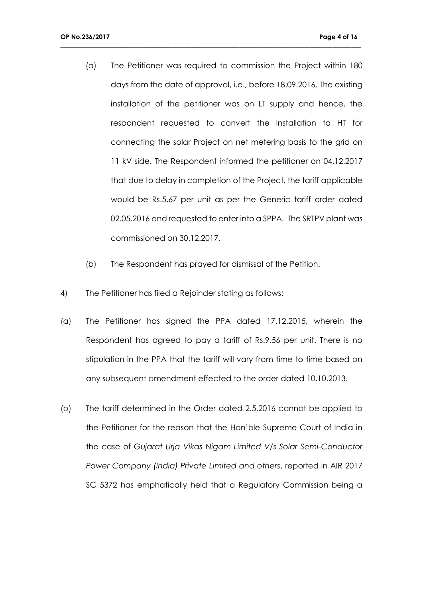(a) The Petitioner was required to commission the Project within 180 days from the date of approval, i.e., before 18.09.2016. The existing installation of the petitioner was on LT supply and hence, the respondent requested to convert the installation to HT for connecting the solar Project on net metering basis to the grid on 11 kV side. The Respondent informed the petitioner on 04.12.2017 that due to delay in completion of the Project, the tariff applicable would be Rs.5.67 per unit as per the Generic tariff order dated 02.05.2016 and requested to enter into a SPPA. The SRTPV plant was commissioned on 30.12.2017.

- (b) The Respondent has prayed for dismissal of the Petition.
- 4) The Petitioner has filed a Rejoinder stating as follows:
- (a) The Petitioner has signed the PPA dated 17.12.2015, wherein the Respondent has agreed to pay a tariff of Rs.9.56 per unit. There is no stipulation in the PPA that the tariff will vary from time to time based on any subsequent amendment effected to the order dated 10.10.2013.
- (b) The tariff determined in the Order dated 2.5.2016 cannot be applied to the Petitioner for the reason that the Hon'ble Supreme Court of India in the case of *Gujarat Urja Vikas Nigam Limited V/s Solar Semi-Conductor Power Company (India) Private Limited and others*, reported in AIR 2017 SC 5372 has emphatically held that a Regulatory Commission being a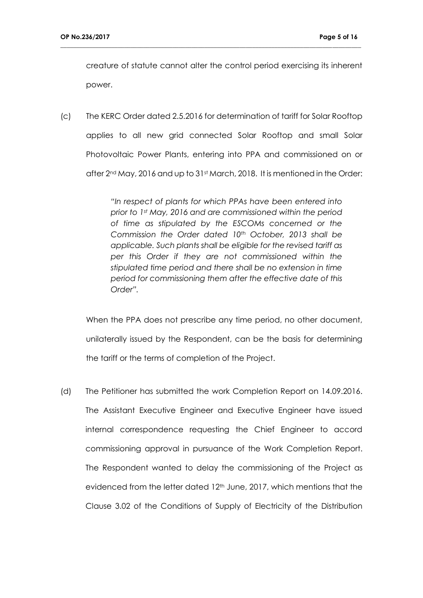creature of statute cannot alter the control period exercising its inherent power.

**\_\_\_\_\_\_\_\_\_\_\_\_\_\_\_\_\_\_\_\_\_\_\_\_\_\_\_\_\_\_\_\_\_\_\_\_\_\_\_\_\_\_\_\_\_\_\_\_\_\_\_\_\_\_\_\_\_\_\_\_\_\_\_\_\_\_\_\_\_\_\_\_\_\_\_\_\_\_\_\_\_\_\_\_\_\_\_\_\_\_\_\_\_\_**

(c) The KERC Order dated 2.5.2016 for determination of tariff for Solar Rooftop applies to all new grid connected Solar Rooftop and small Solar Photovoltaic Power Plants, entering into PPA and commissioned on or after  $2^{nd}$  May, 2016 and up to 31st March, 2018. It is mentioned in the Order:

> *"In respect of plants for which PPAs have been entered into prior to 1st May, 2016 and are commissioned within the period of time as stipulated by the ESCOMs concerned or the Commission the Order dated 10th October, 2013 shall be applicable. Such plants shall be eligible for the revised tariff as per this Order if they are not commissioned within the stipulated time period and there shall be no extension in time period for commissioning them after the effective date of this Order".*

When the PPA does not prescribe any time period, no other document, unilaterally issued by the Respondent, can be the basis for determining the tariff or the terms of completion of the Project.

(d) The Petitioner has submitted the work Completion Report on 14.09.2016. The Assistant Executive Engineer and Executive Engineer have issued internal correspondence requesting the Chief Engineer to accord commissioning approval in pursuance of the Work Completion Report. The Respondent wanted to delay the commissioning of the Project as evidenced from the letter dated 12<sup>th</sup> June, 2017, which mentions that the Clause 3.02 of the Conditions of Supply of Electricity of the Distribution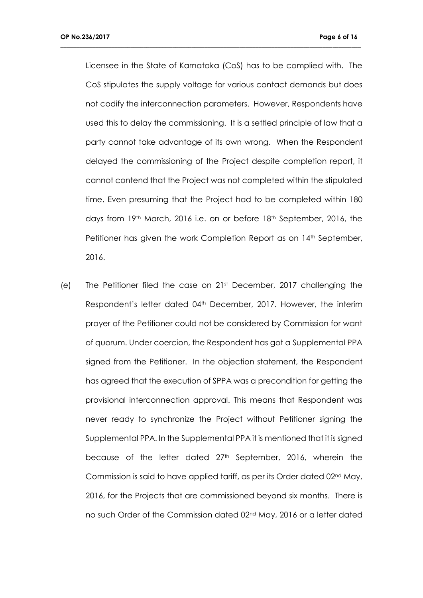Licensee in the State of Karnataka (CoS) has to be complied with. The CoS stipulates the supply voltage for various contact demands but does not codify the interconnection parameters. However, Respondents have used this to delay the commissioning. It is a settled principle of law that a party cannot take advantage of its own wrong. When the Respondent delayed the commissioning of the Project despite completion report, it cannot contend that the Project was not completed within the stipulated time. Even presuming that the Project had to be completed within 180 days from 19th March, 2016 i.e. on or before 18th September, 2016, the Petitioner has given the work Completion Report as on 14<sup>th</sup> September, 2016.

**\_\_\_\_\_\_\_\_\_\_\_\_\_\_\_\_\_\_\_\_\_\_\_\_\_\_\_\_\_\_\_\_\_\_\_\_\_\_\_\_\_\_\_\_\_\_\_\_\_\_\_\_\_\_\_\_\_\_\_\_\_\_\_\_\_\_\_\_\_\_\_\_\_\_\_\_\_\_\_\_\_\_\_\_\_\_\_\_\_\_\_\_\_\_**

(e) The Petitioner filed the case on 21st December, 2017 challenging the Respondent's letter dated 04<sup>th</sup> December, 2017. However, the interim prayer of the Petitioner could not be considered by Commission for want of quorum. Under coercion, the Respondent has got a Supplemental PPA signed from the Petitioner. In the objection statement, the Respondent has agreed that the execution of SPPA was a precondition for getting the provisional interconnection approval. This means that Respondent was never ready to synchronize the Project without Petitioner signing the Supplemental PPA. In the Supplemental PPA it is mentioned that it is signed because of the letter dated 27<sup>th</sup> September, 2016, wherein the Commission is said to have applied tariff, as per its Order dated 02nd May, 2016, for the Projects that are commissioned beyond six months. There is no such Order of the Commission dated 02nd May, 2016 or a letter dated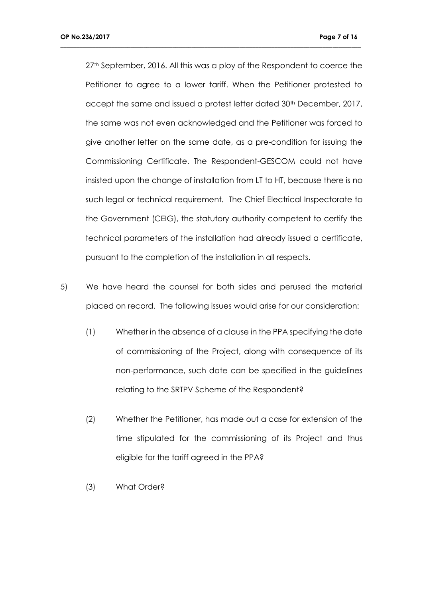27<sup>th</sup> September, 2016. All this was a ploy of the Respondent to coerce the Petitioner to agree to a lower tariff. When the Petitioner protested to accept the same and issued a protest letter dated 30<sup>th</sup> December, 2017, the same was not even acknowledged and the Petitioner was forced to give another letter on the same date, as a pre-condition for issuing the Commissioning Certificate. The Respondent-GESCOM could not have insisted upon the change of installation from LT to HT, because there is no such legal or technical requirement. The Chief Electrical Inspectorate to the Government (CEIG), the statutory authority competent to certify the technical parameters of the installation had already issued a certificate, pursuant to the completion of the installation in all respects.

- 5) We have heard the counsel for both sides and perused the material placed on record. The following issues would arise for our consideration:
	- (1) Whether in the absence of a clause in the PPA specifying the date of commissioning of the Project, along with consequence of its non-performance, such date can be specified in the guidelines relating to the SRTPV Scheme of the Respondent?
	- (2) Whether the Petitioner, has made out a case for extension of the time stipulated for the commissioning of its Project and thus eligible for the tariff agreed in the PPA?
	- (3) What Order?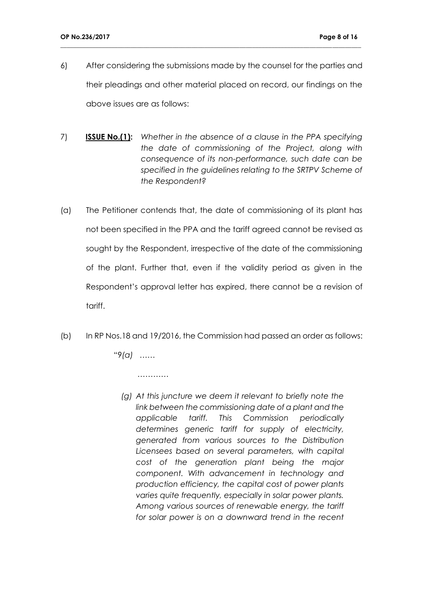6) After considering the submissions made by the counsel for the parties and their pleadings and other material placed on record, our findings on the above issues are as follows:

**\_\_\_\_\_\_\_\_\_\_\_\_\_\_\_\_\_\_\_\_\_\_\_\_\_\_\_\_\_\_\_\_\_\_\_\_\_\_\_\_\_\_\_\_\_\_\_\_\_\_\_\_\_\_\_\_\_\_\_\_\_\_\_\_\_\_\_\_\_\_\_\_\_\_\_\_\_\_\_\_\_\_\_\_\_\_\_\_\_\_\_\_\_\_**

- 7) **ISSUE No.(1):** *Whether in the absence of a clause in the PPA specifying the date of commissioning of the Project, along with consequence of its non-performance, such date can be specified in the guidelines relating to the SRTPV Scheme of the Respondent?*
- (a) The Petitioner contends that, the date of commissioning of its plant has not been specified in the PPA and the tariff agreed cannot be revised as sought by the Respondent, irrespective of the date of the commissioning of the plant. Further that, even if the validity period as given in the Respondent's approval letter has expired, there cannot be a revision of tariff.
- (b) In RP Nos.18 and 19/2016, the Commission had passed an order as follows:

"9*(a) ……*

 *…………*

 *(g) At this juncture we deem it relevant to briefly note the link between the commissioning date of a plant and the applicable tariff. This Commission periodically determines generic tariff for supply of electricity, generated from various sources to the Distribution Licensees based on several parameters, with capital cost of the generation plant being the major component. With advancement in technology and production efficiency, the capital cost of power plants varies quite frequently, especially in solar power plants. Among various sources of renewable energy, the tariff for solar power is on a downward trend in the recent*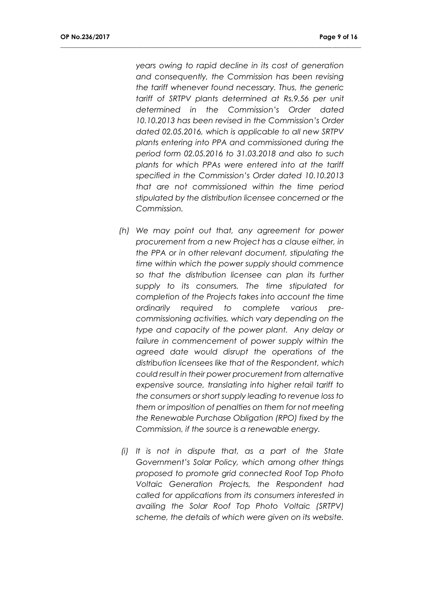*years owing to rapid decline in its cost of generation and consequently, the Commission has been revising the tariff whenever found necessary. Thus, the generic tariff of SRTPV plants determined at Rs.9.56 per unit determined in the Commission's Order dated 10.10.2013 has been revised in the Commission's Order dated 02.05.2016, which is applicable to all new SRTPV plants entering into PPA and commissioned during the period form 02.05.2016 to 31.03.2018 and also to such plants for which PPAs were entered into at the tariff specified in the Commission's Order dated 10.10.2013 that are not commissioned within the time period stipulated by the distribution licensee concerned or the Commission.*

- *(h) We may point out that, any agreement for power procurement from a new Project has a clause either, in the PPA or in other relevant document, stipulating the time within which the power supply should commence so that the distribution licensee can plan its further supply to its consumers. The time stipulated for completion of the Projects takes into account the time ordinarily required to complete various precommissioning activities, which vary depending on the type and capacity of the power plant. Any delay or*  failure in commencement of power supply within the *agreed date would disrupt the operations of the distribution licensees like that of the Respondent, which could result in their power procurement from alternative expensive source, translating into higher retail tariff to the consumers or short supply leading to revenue loss to them or imposition of penalties on them for not meeting the Renewable Purchase Obligation (RPO) fixed by the Commission, if the source is a renewable energy.*
- *(i) It is not in dispute that, as a part of the State Government's Solar Policy, which among other things proposed to promote grid connected Roof Top Photo Voltaic Generation Projects, the Respondent had called for applications from its consumers interested in availing the Solar Roof Top Photo Voltaic (SRTPV) scheme, the details of which were given on its website.*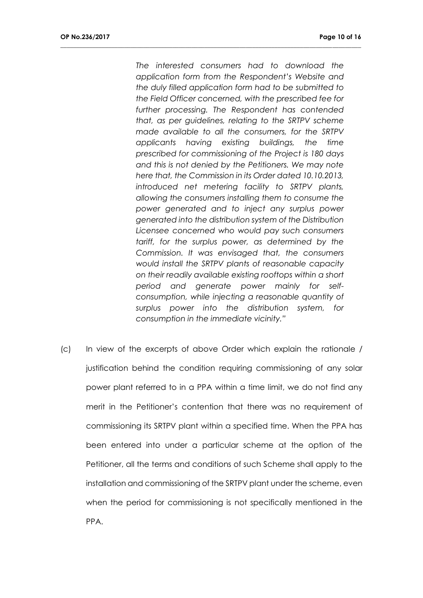*The interested consumers had to download the application form from the Respondent's Website and the duly filled application form had to be submitted to the Field Officer concerned, with the prescribed fee for further processing. The Respondent has contended that, as per guidelines, relating to the SRTPV scheme made available to all the consumers, for the SRTPV applicants having existing buildings, the time prescribed for commissioning of the Project is 180 days and this is not denied by the Petitioners. We may note here that, the Commission in its Order dated 10.10.2013, introduced net metering facility to SRTPV plants, allowing the consumers installing them to consume the power generated and to inject any surplus power generated into the distribution system of the Distribution Licensee concerned who would pay such consumers tariff, for the surplus power, as determined by the Commission. It was envisaged that, the consumers would install the SRTPV plants of reasonable capacity on their readily available existing rooftops within a short period and generate power mainly for selfconsumption, while injecting a reasonable quantity of surplus power into the distribution system, for consumption in the immediate vicinity."*

**\_\_\_\_\_\_\_\_\_\_\_\_\_\_\_\_\_\_\_\_\_\_\_\_\_\_\_\_\_\_\_\_\_\_\_\_\_\_\_\_\_\_\_\_\_\_\_\_\_\_\_\_\_\_\_\_\_\_\_\_\_\_\_\_\_\_\_\_\_\_\_\_\_\_\_\_\_\_\_\_\_\_\_\_\_\_\_\_\_\_\_\_\_\_**

(c) In view of the excerpts of above Order which explain the rationale / justification behind the condition requiring commissioning of any solar power plant referred to in a PPA within a time limit, we do not find any merit in the Petitioner's contention that there was no requirement of commissioning its SRTPV plant within a specified time. When the PPA has been entered into under a particular scheme at the option of the Petitioner, all the terms and conditions of such Scheme shall apply to the installation and commissioning of the SRTPV plant under the scheme, even when the period for commissioning is not specifically mentioned in the PPA.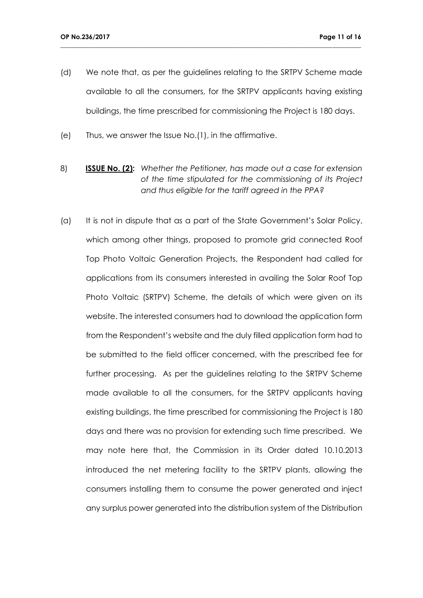(d) We note that, as per the guidelines relating to the SRTPV Scheme made available to all the consumers, for the SRTPV applicants having existing buildings, the time prescribed for commissioning the Project is 180 days.

- (e) Thus, we answer the Issue No.(1), in the affirmative.
- 8) **ISSUE No. (2):** *Whether the Petitioner, has made out a case for extension of the time stipulated for the commissioning of its Project and thus eligible for the tariff agreed in the PPA?*
- (a) It is not in dispute that as a part of the State Government's Solar Policy, which among other things, proposed to promote grid connected Roof Top Photo Voltaic Generation Projects, the Respondent had called for applications from its consumers interested in availing the Solar Roof Top Photo Voltaic (SRTPV) Scheme, the details of which were given on its website. The interested consumers had to download the application form from the Respondent's website and the duly filled application form had to be submitted to the field officer concerned, with the prescribed fee for further processing. As per the guidelines relating to the SRTPV Scheme made available to all the consumers, for the SRTPV applicants having existing buildings, the time prescribed for commissioning the Project is 180 days and there was no provision for extending such time prescribed. We may note here that, the Commission in its Order dated 10.10.2013 introduced the net metering facility to the SRTPV plants, allowing the consumers installing them to consume the power generated and inject any surplus power generated into the distribution system of the Distribution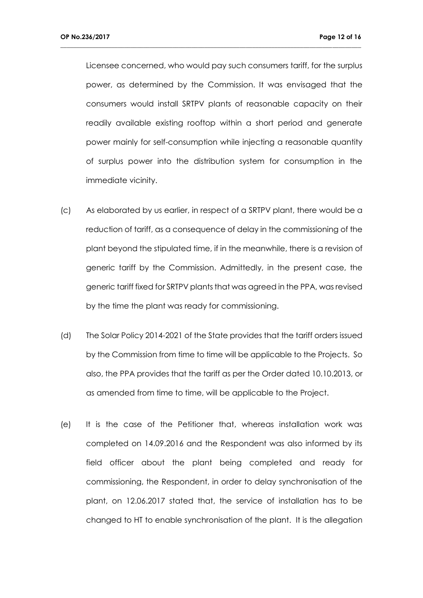Licensee concerned, who would pay such consumers tariff, for the surplus power, as determined by the Commission. It was envisaged that the consumers would install SRTPV plants of reasonable capacity on their readily available existing rooftop within a short period and generate power mainly for self-consumption while injecting a reasonable quantity of surplus power into the distribution system for consumption in the immediate vicinity.

- (c) As elaborated by us earlier, in respect of a SRTPV plant, there would be a reduction of tariff, as a consequence of delay in the commissioning of the plant beyond the stipulated time, if in the meanwhile, there is a revision of generic tariff by the Commission. Admittedly, in the present case, the generic tariff fixed for SRTPV plants that was agreed in the PPA, was revised by the time the plant was ready for commissioning.
- (d) The Solar Policy 2014-2021 of the State provides that the tariff orders issued by the Commission from time to time will be applicable to the Projects. So also, the PPA provides that the tariff as per the Order dated 10.10.2013, or as amended from time to time, will be applicable to the Project.
- (e) It is the case of the Petitioner that, whereas installation work was completed on 14.09.2016 and the Respondent was also informed by its field officer about the plant being completed and ready for commissioning, the Respondent, in order to delay synchronisation of the plant, on 12.06.2017 stated that, the service of installation has to be changed to HT to enable synchronisation of the plant. It is the allegation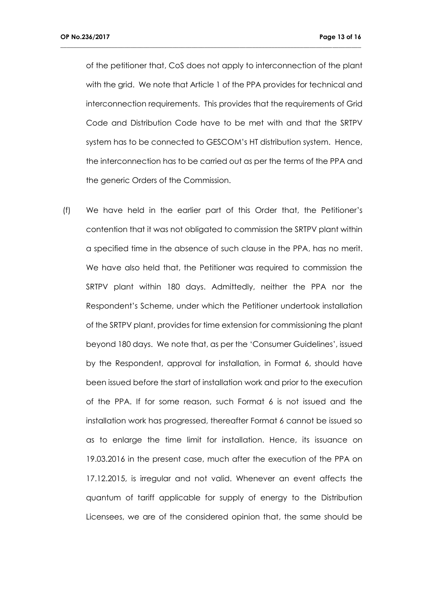of the petitioner that, CoS does not apply to interconnection of the plant with the grid. We note that Article 1 of the PPA provides for technical and interconnection requirements. This provides that the requirements of Grid Code and Distribution Code have to be met with and that the SRTPV system has to be connected to GESCOM's HT distribution system. Hence, the interconnection has to be carried out as per the terms of the PPA and the generic Orders of the Commission.

**\_\_\_\_\_\_\_\_\_\_\_\_\_\_\_\_\_\_\_\_\_\_\_\_\_\_\_\_\_\_\_\_\_\_\_\_\_\_\_\_\_\_\_\_\_\_\_\_\_\_\_\_\_\_\_\_\_\_\_\_\_\_\_\_\_\_\_\_\_\_\_\_\_\_\_\_\_\_\_\_\_\_\_\_\_\_\_\_\_\_\_\_\_\_**

(f) We have held in the earlier part of this Order that, the Petitioner's contention that it was not obligated to commission the SRTPV plant within a specified time in the absence of such clause in the PPA, has no merit. We have also held that, the Petitioner was required to commission the SRTPV plant within 180 days. Admittedly, neither the PPA nor the Respondent's Scheme, under which the Petitioner undertook installation of the SRTPV plant, provides for time extension for commissioning the plant beyond 180 days. We note that, as per the 'Consumer Guidelines', issued by the Respondent, approval for installation, in Format 6, should have been issued before the start of installation work and prior to the execution of the PPA. If for some reason, such Format 6 is not issued and the installation work has progressed, thereafter Format 6 cannot be issued so as to enlarge the time limit for installation. Hence, its issuance on 19.03.2016 in the present case, much after the execution of the PPA on 17.12.2015, is irregular and not valid. Whenever an event affects the quantum of tariff applicable for supply of energy to the Distribution Licensees, we are of the considered opinion that, the same should be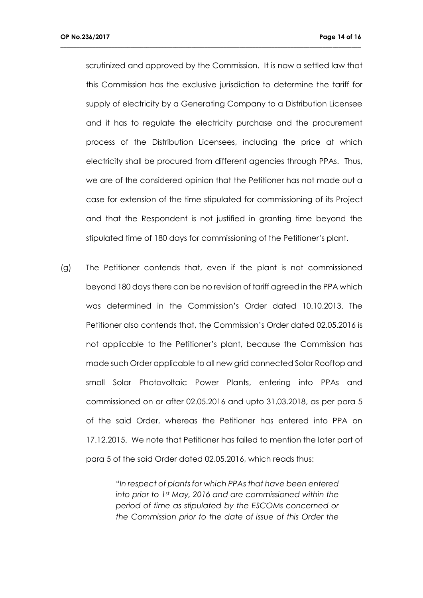scrutinized and approved by the Commission. It is now a settled law that this Commission has the exclusive jurisdiction to determine the tariff for supply of electricity by a Generating Company to a Distribution Licensee and it has to regulate the electricity purchase and the procurement process of the Distribution Licensees, including the price at which electricity shall be procured from different agencies through PPAs. Thus, we are of the considered opinion that the Petitioner has not made out a case for extension of the time stipulated for commissioning of its Project and that the Respondent is not justified in granting time beyond the stipulated time of 180 days for commissioning of the Petitioner's plant.

**\_\_\_\_\_\_\_\_\_\_\_\_\_\_\_\_\_\_\_\_\_\_\_\_\_\_\_\_\_\_\_\_\_\_\_\_\_\_\_\_\_\_\_\_\_\_\_\_\_\_\_\_\_\_\_\_\_\_\_\_\_\_\_\_\_\_\_\_\_\_\_\_\_\_\_\_\_\_\_\_\_\_\_\_\_\_\_\_\_\_\_\_\_\_**

(g) The Petitioner contends that, even if the plant is not commissioned beyond 180 days there can be no revision of tariff agreed in the PPA which was determined in the Commission's Order dated 10.10.2013. The Petitioner also contends that, the Commission's Order dated 02.05.2016 is not applicable to the Petitioner's plant, because the Commission has made such Order applicable to all new grid connected Solar Rooftop and small Solar Photovoltaic Power Plants, entering into PPAs and commissioned on or after 02.05.2016 and upto 31.03.2018, as per para 5 of the said Order, whereas the Petitioner has entered into PPA on 17.12.2015. We note that Petitioner has failed to mention the later part of para 5 of the said Order dated 02.05.2016, which reads thus:

> "*In respect of plants for which PPAs that have been entered into prior to 1st May, 2016 and are commissioned within the period of time as stipulated by the ESCOMs concerned or the Commission prior to the date of issue of this Order the*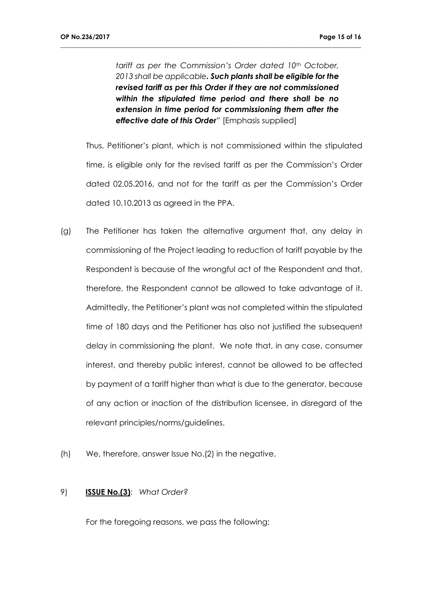*tariff as per the Commission's Order dated 10th October, 2013 shall be applicable. Such plants shall be eligible for the revised tariff as per this Order if they are not commissioned within the stipulated time period and there shall be no extension in time period for commissioning them after the effective date of this Order"* [Emphasis supplied]

**\_\_\_\_\_\_\_\_\_\_\_\_\_\_\_\_\_\_\_\_\_\_\_\_\_\_\_\_\_\_\_\_\_\_\_\_\_\_\_\_\_\_\_\_\_\_\_\_\_\_\_\_\_\_\_\_\_\_\_\_\_\_\_\_\_\_\_\_\_\_\_\_\_\_\_\_\_\_\_\_\_\_\_\_\_\_\_\_\_\_\_\_\_\_**

Thus, Petitioner's plant, which is not commissioned within the stipulated time, is eligible only for the revised tariff as per the Commission's Order dated 02.05.2016, and not for the tariff as per the Commission's Order dated 10.10.2013 as agreed in the PPA.

- (g) The Petitioner has taken the alternative argument that, any delay in commissioning of the Project leading to reduction of tariff payable by the Respondent is because of the wrongful act of the Respondent and that, therefore, the Respondent cannot be allowed to take advantage of it. Admittedly, the Petitioner's plant was not completed within the stipulated time of 180 days and the Petitioner has also not justified the subsequent delay in commissioning the plant. We note that, in any case, consumer interest, and thereby public interest, cannot be allowed to be affected by payment of a tariff higher than what is due to the generator, because of any action or inaction of the distribution licensee, in disregard of the relevant principles/norms/guidelines.
- (h) We, therefore, answer Issue No.(2) in the negative.

#### 9) **ISSUE No.(3)**: *What Order?*

For the foregoing reasons, we pass the following: